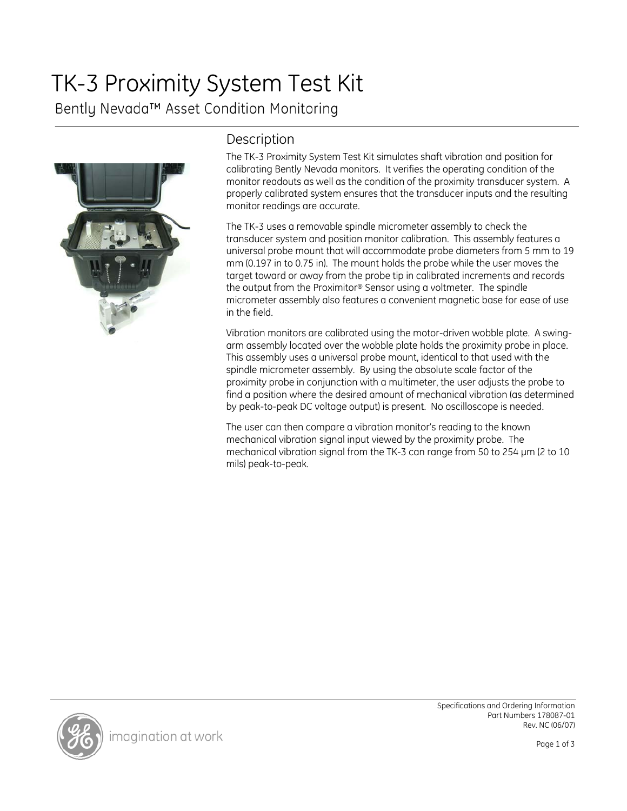# TK-3 Proximity System Test Kit

Bently Nevada™ Asset Condition Monitoring



# Description

The TK-3 Proximity System Test Kit simulates shaft vibration and position for calibrating Bently Nevada monitors. It verifies the operating condition of the monitor readouts as well as the condition of the proximity transducer system. A properly calibrated system ensures that the transducer inputs and the resulting monitor readings are accurate.

The TK-3 uses a removable spindle micrometer assembly to check the transducer system and position monitor calibration. This assembly features a universal probe mount that will accommodate probe diameters from 5 mm to 19 mm (0.197 in to 0.75 in). The mount holds the probe while the user moves the target toward or away from the probe tip in calibrated increments and records the output from the Proximitor® Sensor using a voltmeter. The spindle micrometer assembly also features a convenient magnetic base for ease of use in the field.

Vibration monitors are calibrated using the motor-driven wobble plate. A swingarm assembly located over the wobble plate holds the proximity probe in place. This assembly uses a universal probe mount, identical to that used with the spindle micrometer assembly. By using the absolute scale factor of the proximity probe in conjunction with a multimeter, the user adjusts the probe to find a position where the desired amount of mechanical vibration (as determined by peak-to-peak DC voltage output) is present. No oscilloscope is needed.

The user can then compare a vibration monitor's reading to the known mechanical vibration signal input viewed by the proximity probe. The mechanical vibration signal from the TK-3 can range from 50 to 254 µm (2 to 10 mils) peak-to-peak.

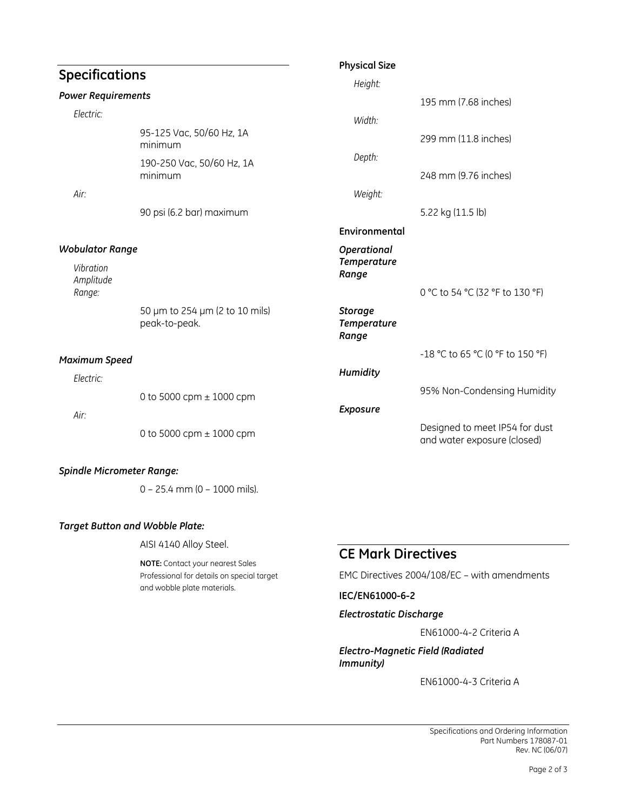|                                  |                                                 | <b>Physical Size</b>                          |                                                               |
|----------------------------------|-------------------------------------------------|-----------------------------------------------|---------------------------------------------------------------|
| <b>Specifications</b>            |                                                 | Height:                                       |                                                               |
| <b>Power Requirements</b>        |                                                 |                                               | 195 mm (7.68 inches)                                          |
| Electric:                        |                                                 | Width:                                        |                                                               |
|                                  | 95-125 Vac, 50/60 Hz, 1A<br>minimum             |                                               | 299 mm (11.8 inches)                                          |
|                                  | 190-250 Vac, 50/60 Hz, 1A<br>minimum            | Depth:                                        | 248 mm (9.76 inches)                                          |
| Air:                             |                                                 | Weight:                                       |                                                               |
|                                  | 90 psi (6.2 bar) maximum                        |                                               | 5.22 kg (11.5 lb)                                             |
|                                  |                                                 | Environmental                                 |                                                               |
| <b>Wobulator Range</b>           |                                                 | Operational                                   |                                                               |
| Vibration<br>Amplitude<br>Range: |                                                 | <b>Temperature</b><br>Range                   |                                                               |
|                                  |                                                 |                                               | 0 °C to 54 °C (32 °F to 130 °F)                               |
|                                  | 50 µm to 254 µm (2 to 10 mils)<br>peak-to-peak. | <b>Storage</b><br><b>Temperature</b><br>Range |                                                               |
| <b>Maximum Speed</b>             |                                                 |                                               | -18 °C to 65 °C (0 °F to 150 °F)                              |
| Electric:                        |                                                 | <b>Humidity</b>                               |                                                               |
|                                  | 0 to 5000 cpm $\pm$ 1000 cpm                    |                                               | 95% Non-Condensing Humidity                                   |
| Air:                             |                                                 | Exposure                                      |                                                               |
|                                  | 0 to 5000 cpm $\pm$ 1000 cpm                    |                                               | Designed to meet IP54 for dust<br>and water exposure (closed) |

# *Spindle Micrometer Range:*

0 – 25.4 mm (0 – 1000 mils).

## *Target Button and Wobble Plate:*

AISI 4140 Alloy Steel.

**NOTE:** Contact your nearest Sales Professional for details on special target and wobble plate materials.

# **CE Mark Directives**

EMC Directives 2004/108/EC – with amendments

#### **IEC/EN61000-6-2**

## *Electrostatic Discharge*

EN61000-4-2 Criteria A

*Electro-Magnetic Field (Radiated Immunity)* 

EN61000-4-3 Criteria A

Specifications and Ordering Information Part Numbers 178087-01 Rev. NC (06/07)